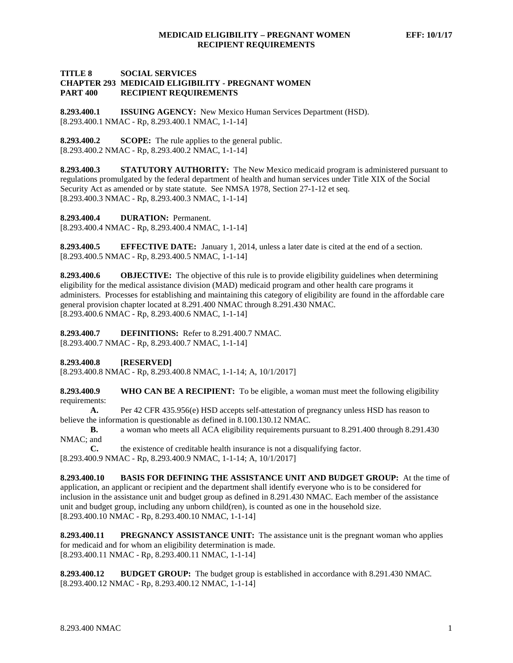## **TITLE 8 SOCIAL SERVICES CHAPTER 293 MEDICAID ELIGIBILITY - PREGNANT WOMEN PART 400 RECIPIENT REQUIREMENTS**

**8.293.400.1 ISSUING AGENCY:** New Mexico Human Services Department (HSD). [8.293.400.1 NMAC - Rp, 8.293.400.1 NMAC, 1-1-14]

**8.293.400.2 SCOPE:** The rule applies to the general public. [8.293.400.2 NMAC - Rp, 8.293.400.2 NMAC, 1-1-14]

**8.293.400.3 STATUTORY AUTHORITY:** The New Mexico medicaid program is administered pursuant to regulations promulgated by the federal department of health and human services under Title XIX of the Social Security Act as amended or by state statute. See NMSA 1978, Section 27-1-12 et seq. [8.293.400.3 NMAC - Rp, 8.293.400.3 NMAC, 1-1-14]

**8.293.400.4 DURATION:** Permanent.

[8.293.400.4 NMAC - Rp, 8.293.400.4 NMAC, 1-1-14]

**8.293.400.5 EFFECTIVE DATE:** January 1, 2014, unless a later date is cited at the end of a section. [8.293.400.5 NMAC - Rp, 8.293.400.5 NMAC, 1-1-14]

**8.293.400.6 OBJECTIVE:** The objective of this rule is to provide eligibility guidelines when determining eligibility for the medical assistance division (MAD) medicaid program and other health care programs it administers. Processes for establishing and maintaining this category of eligibility are found in the affordable care general provision chapter located at 8.291.400 NMAC through 8.291.430 NMAC. [8.293.400.6 NMAC - Rp, 8.293.400.6 NMAC, 1-1-14]

**8.293.400.7 DEFINITIONS:** Refer to 8.291.400.7 NMAC. [8.293.400.7 NMAC - Rp, 8.293.400.7 NMAC, 1-1-14]

**8.293.400.8 [RESERVED]**

[8.293.400.8 NMAC - Rp, 8.293.400.8 NMAC, 1-1-14; A, 10/1/2017]

**8.293.400.9 WHO CAN BE A RECIPIENT:** To be eligible, a woman must meet the following eligibility requirements:

**A.** Per 42 CFR 435.956(e) HSD accepts self-attestation of pregnancy unless HSD has reason to believe the information is questionable as defined in 8.100.130.12 NMAC.

**B.** a woman who meets all ACA eligibility requirements pursuant to 8.291.400 through 8.291.430 NMAC; and

**C.** the existence of creditable health insurance is not a disqualifying factor. [8.293.400.9 NMAC - Rp, 8.293.400.9 NMAC, 1-1-14; A, 10/1/2017]

**8.293.400.10 BASIS FOR DEFINING THE ASSISTANCE UNIT AND BUDGET GROUP:** At the time of application, an applicant or recipient and the department shall identify everyone who is to be considered for inclusion in the assistance unit and budget group as defined in 8.291.430 NMAC. Each member of the assistance unit and budget group, including any unborn child(ren), is counted as one in the household size. [8.293.400.10 NMAC - Rp, 8.293.400.10 NMAC, 1-1-14]

**8.293.400.11 PREGNANCY ASSISTANCE UNIT:** The assistance unit is the pregnant woman who applies for medicaid and for whom an eligibility determination is made. [8.293.400.11 NMAC - Rp, 8.293.400.11 NMAC, 1-1-14]

**8.293.400.12 BUDGET GROUP:** The budget group is established in accordance with 8.291.430 NMAC*.* [8.293.400.12 NMAC - Rp, 8.293.400.12 NMAC, 1-1-14]